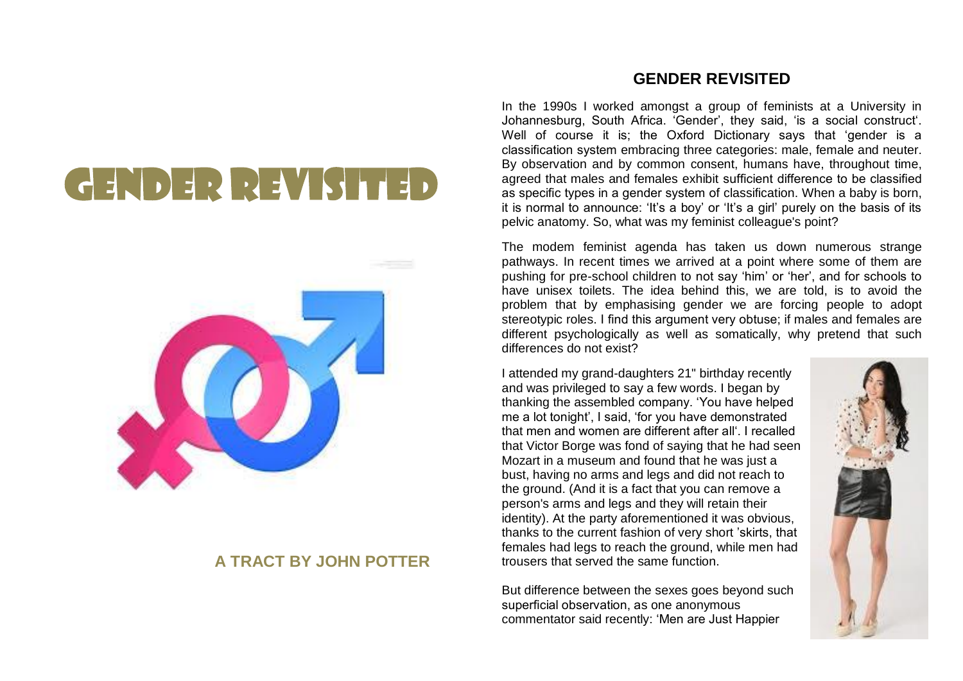## GENDER REVIS



## **A TRACT BY JOHN POTTER**

## **GENDER REVISITED**

In the 1990s I worked amongst a group of feminists at a University in Johannesburg, South Africa. 'Gender', they said, 'is a social construct'. Well of course it is; the Oxford Dictionary says that 'gender is a classification system embracing three categories: male, female and neuter. By observation and by common consent, humans have, throughout time, agreed that males and females exhibit sufficient difference to be classified as specific types in a gender system of classification. When a baby is born, it is normal to announce: 'It's a boy' or 'It's a girl' purely on the basis of its pelvic anatomy. So, what was my feminist colleague's point?

The modem feminist agenda has taken us down numerous strange pathways. In recent times we arrived at a point where some of them are pushing for pre-school children to not say 'him' or 'her', and for schools to have unisex toilets. The idea behind this, we are told, is to avoid the problem that by emphasising gender we are forcing people to adopt stereotypic roles. I find this argument very obtuse; if males and females are different psychologically as well as somatically, why pretend that such differences do not exist?

I attended my grand-daughters 21" birthday recently and was privileged to say a few words. I began by thanking the assembled company. 'You have helped me a lot tonight', I said, 'for you have demonstrated that men and women are different after all'. I recalled that Victor Borge was fond of saying that he had seen Mozart in a museum and found that he was just a bust, having no arms and legs and did not reach to the ground. (And it is a fact that you can remove a person's arms and legs and they will retain their identity). At the party aforementioned it was obvious, thanks to the current fashion of very short 'skirts, that females had legs to reach the ground, while men had trousers that served the same function.

But difference between the sexes goes beyond such superficial observation, as one anonymous commentator said recently: 'Men are Just Happier

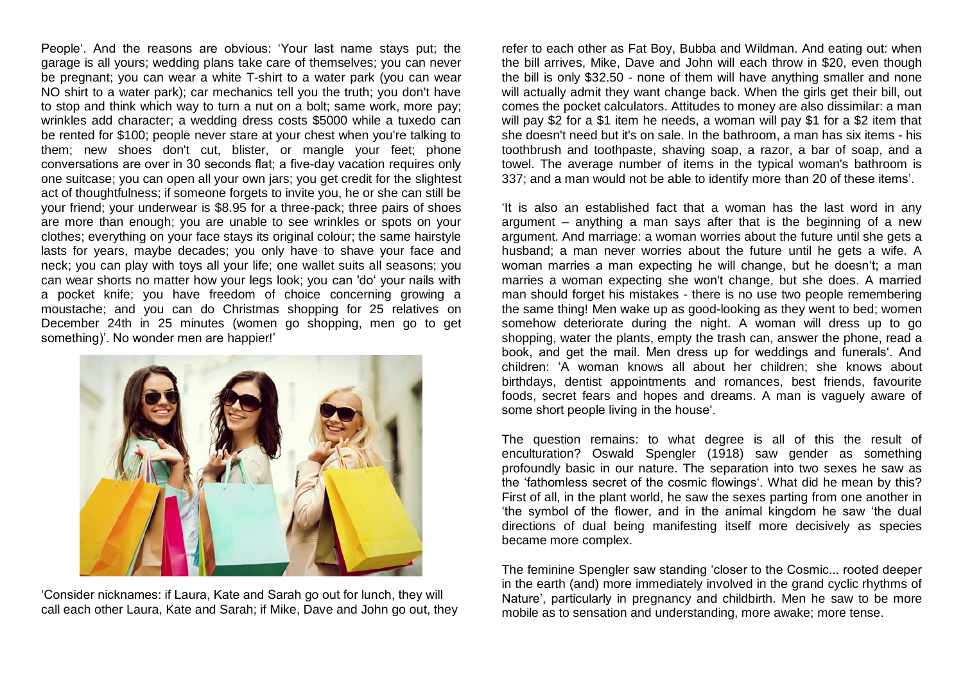People'. And the reasons are obvious: 'Your last name stays put; the garage is all yours; wedding plans take care of themselves; you can never be pregnant; you can wear a white T-shirt to a water park (you can wear NO shirt to a water park); car mechanics tell you the truth; you don't have to stop and think which way to turn a nut on a bolt; same work, more pay; wrinkles add character; a wedding dress costs \$5000 while a tuxedo can be rented for \$100; people never stare at your chest when you're talking to them; new shoes don't cut, blister, or mangle your feet; phone conversations are over in 30 seconds flat; a five-day vacation requires only one suitcase; you can open all your own jars; you get credit for the slightest act of thoughtfulness; if someone forgets to invite you, he or she can still be your friend; your underwear is \$8.95 for a three-pack; three pairs of shoes are more than enough; you are unable to see wrinkles or spots on your clothes; everything on your face stays its original colour; the same hairstyle lasts for years, maybe decades; you only have to shave your face and neck; you can play with toys all your life; one wallet suits all seasons; you can wear shorts no matter how your legs look; you can 'do' your nails with a pocket knife; you have freedom of choice concerning growing a moustache; and you can do Christmas shopping for 25 relatives on December 24th in 25 minutes (women go shopping, men go to get something)'. No wonder men are happier!'



'Consider nicknames: if Laura, Kate and Sarah go out for lunch, they will call each other Laura, Kate and Sarah; if Mike, Dave and John go out, they refer to each other as Fat Boy, Bubba and Wildman. And eating out: when the bill arrives, Mike, Dave and John will each throw in \$20, even though the bill is only \$32.50 - none of them will have anything smaller and none will actually admit they want change back. When the girls get their bill, out comes the pocket calculators. Attitudes to money are also dissimilar: a man will pay \$2 for a \$1 item he needs, a woman will pay \$1 for a \$2 item that she doesn't need but it's on sale. In the bathroom, a man has six items - his toothbrush and toothpaste, shaving soap, a razor, a bar of soap, and a towel. The average number of items in the typical woman's bathroom is 337; and a man would not be able to identify more than 20 of these items'.

'It is also an established fact that a woman has the last word in any argument – anything a man says after that is the beginning of a new argument. And marriage: a woman worries about the future until she gets a husband; a man never worries about the future until he gets a wife. A woman marries a man expecting he will change, but he doesn't; a man marries a woman expecting she won't change, but she does. A married man should forget his mistakes - there is no use two people remembering the same thing! Men wake up as good-looking as they went to bed; women somehow deteriorate during the night. A woman will dress up to go shopping, water the plants, empty the trash can, answer the phone, read a book, and get the mail. Men dress up for weddings and funerals'. And children: 'A woman knows all about her children; she knows about birthdays, dentist appointments and romances, best friends, favourite foods, secret fears and hopes and dreams. A man is vaguely aware of some short people living in the house'.

The question remains: to what degree is all of this the result of enculturation? Oswald Spengler (1918) saw gender as something profoundly basic in our nature. The separation into two sexes he saw as the 'fathomless secret of the cosmic flowings'. What did he mean by this? First of all, in the plant world, he saw the sexes parting from one another in 'the symbol of the flower, and in the animal kingdom he saw 'the dual directions of dual being manifesting itself more decisively as species became more complex.

The feminine Spengler saw standing 'closer to the Cosmic... rooted deeper in the earth (and) more immediately involved in the grand cyclic rhythms of Nature', particularly in pregnancy and childbirth. Men he saw to be more mobile as to sensation and understanding, more awake; more tense.